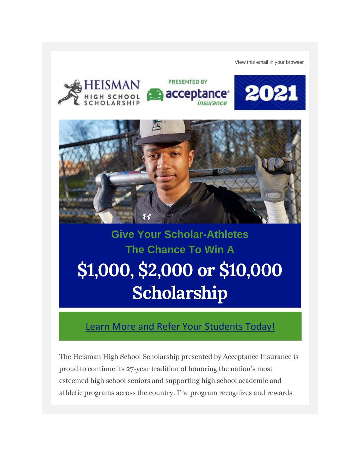[View this email in your browser](https://nam02.safelinks.protection.outlook.com/?url=https%3A%2F%2Fmailchi.mp%2F20ac3628ce7b%2F128k-in-heisman-scholarships-encourage-students-to-apply-1172207%3Fe%3Db950b7a171&data=04%7C01%7Ckeythe.flaagan%40k12.nd.us%7C4695699c527548fcd9b708d9737aa5d4%7Cdbbf782acef14af186c81f9201061db6%7C0%7C0%7C637667792907616865%7CUnknown%7CTWFpbGZsb3d8eyJWIjoiMC4wLjAwMDAiLCJQIjoiV2luMzIiLCJBTiI6Ik1haWwiLCJXVCI6Mn0%3D%7C1000&sdata=nl0jJ9bcRS6S7SP4r9N8s0U2cuKtnuDcu5KwhDsaj3s%3D&reserved=0)









# **Give Your Scholar-Athletes The Chance To Win A \$1,000, \$2,000 or \$10,000 Scholarship**

#### [Learn More and Refer Your Students Today!](https://nam02.safelinks.protection.outlook.com/?url=https%3A%2F%2Fheismanscholarship.us8.list-manage.com%2Ftrack%2Fclick%3Fu%3De1576373df2cf1a8b2733dadb%26id%3D91f4253e18%26e%3Db950b7a171&data=04%7C01%7Ckeythe.flaagan%40k12.nd.us%7C4695699c527548fcd9b708d9737aa5d4%7Cdbbf782acef14af186c81f9201061db6%7C0%7C0%7C637667792907636855%7CUnknown%7CTWFpbGZsb3d8eyJWIjoiMC4wLjAwMDAiLCJQIjoiV2luMzIiLCJBTiI6Ik1haWwiLCJXVCI6Mn0%3D%7C1000&sdata=SGoARi5hMfdoEVpL4mXyIhBPAO1uylzjTre6WmRSiaA%3D&reserved=0)

The Heisman High School Scholarship presented by Acceptance Insurance is proud to continue its 27-year tradition of honoring the nation's most esteemed high school seniors and supporting high school academic and athletic programs across the country. The program recognizes and rewards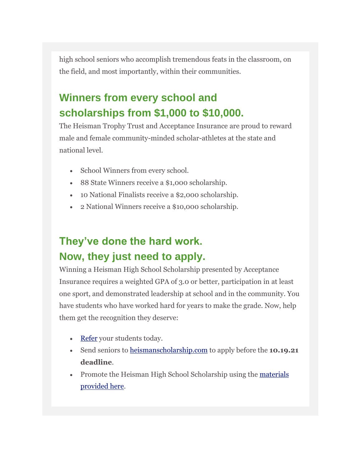high school seniors who accomplish tremendous feats in the classroom, on the field, and most importantly, within their communities.

### **Winners from every school and scholarships from \$1,000 to \$10,000.**

The Heisman Trophy Trust and Acceptance Insurance are proud to reward male and female community-minded scholar-athletes at the state and national level.

- School Winners from every school.
- 88 State Winners receive a \$1,000 scholarship.
- 10 National Finalists receive a \$2,000 scholarship.
- 2 National Winners receive a \$10,000 scholarship.

### **They've done the hard work. Now, they just need to apply.**

Winning a Heisman High School Scholarship presented by Acceptance Insurance requires a weighted GPA of 3.0 or better, participation in at least one sport, and demonstrated leadership at school and in the community. You have students who have worked hard for years to make the grade. Now, help them get the recognition they deserve:

- [Refer](https://nam02.safelinks.protection.outlook.com/?url=https%3A%2F%2Fheismanscholarship.us8.list-manage.com%2Ftrack%2Fclick%3Fu%3De1576373df2cf1a8b2733dadb%26id%3D3bcde8dffe%26e%3Db950b7a171&data=04%7C01%7Ckeythe.flaagan%40k12.nd.us%7C4695699c527548fcd9b708d9737aa5d4%7Cdbbf782acef14af186c81f9201061db6%7C0%7C0%7C637667792907636855%7CUnknown%7CTWFpbGZsb3d8eyJWIjoiMC4wLjAwMDAiLCJQIjoiV2luMzIiLCJBTiI6Ik1haWwiLCJXVCI6Mn0%3D%7C1000&sdata=oB4jf0b21SzbaCUAiX0%2B2ozjY1e17HYTyACVvJG8wpQ%3D&reserved=0) your students today.
- Send seniors to [heismanscholarship.com](https://nam02.safelinks.protection.outlook.com/?url=https%3A%2F%2Fheismanscholarship.us8.list-manage.com%2Ftrack%2Fclick%3Fu%3De1576373df2cf1a8b2733dadb%26id%3D4edf224724%26e%3Db950b7a171&data=04%7C01%7Ckeythe.flaagan%40k12.nd.us%7C4695699c527548fcd9b708d9737aa5d4%7Cdbbf782acef14af186c81f9201061db6%7C0%7C0%7C637667792907646849%7CUnknown%7CTWFpbGZsb3d8eyJWIjoiMC4wLjAwMDAiLCJQIjoiV2luMzIiLCJBTiI6Ik1haWwiLCJXVCI6Mn0%3D%7C1000&sdata=4WTRe4Aic3IG1Anro5e0TQdW1jlPkuyds3RaW%2F03EiA%3D&reserved=0) to apply before the **10.19.21 deadline**.
- Promote the Heisman High School Scholarship using the materials [provided here.](https://nam02.safelinks.protection.outlook.com/?url=https%3A%2F%2Fheismanscholarship.us8.list-manage.com%2Ftrack%2Fclick%3Fu%3De1576373df2cf1a8b2733dadb%26id%3Dee290bee6e%26e%3Db950b7a171&data=04%7C01%7Ckeythe.flaagan%40k12.nd.us%7C4695699c527548fcd9b708d9737aa5d4%7Cdbbf782acef14af186c81f9201061db6%7C0%7C0%7C637667792907656842%7CUnknown%7CTWFpbGZsb3d8eyJWIjoiMC4wLjAwMDAiLCJQIjoiV2luMzIiLCJBTiI6Ik1haWwiLCJXVCI6Mn0%3D%7C1000&sdata=Xr94XL0m%2FNU1lzOGe%2F9JfqJ8TA4iaXHZT5UrXZPB6S8%3D&reserved=0)